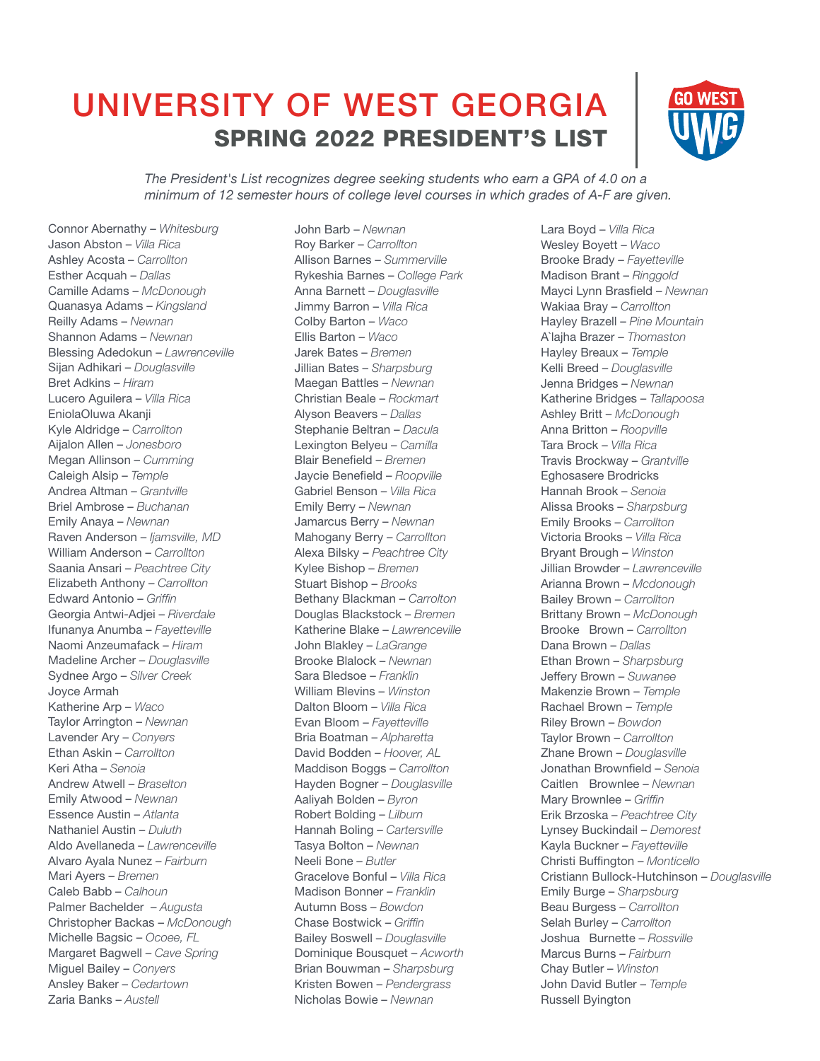

*The President's List recognizes degree seeking students who earn a GPA of 4.0 on a minimum of 12 semester hours of college level courses in which grades of A-F are given.*

Connor Abernathy – *Whitesburg* Jason Abston – *Villa Rica* Ashley Acosta – *Carrollton* Esther Acquah – *Dallas* Camille Adams – *McDonough* Quanasya Adams – *Kingsland* Reilly Adams – *Newnan* Shannon Adams – *Newnan* Blessing Adedokun – *Lawrenceville* Sijan Adhikari – *Douglasville* Bret Adkins – *Hiram* Lucero Aguilera – *Villa Rica* EniolaOluwa Akanji Kyle Aldridge – *Carrollton* Aijalon Allen – *Jonesboro* Megan Allinson – *Cumming* Caleigh Alsip – *Temple* Andrea Altman – *Grantville* Briel Ambrose – *Buchanan* Emily Anaya – *Newnan* Raven Anderson – *Ijamsville, MD* William Anderson – *Carrollton* Saania Ansari – *Peachtree City* Elizabeth Anthony – *Carrollton* Edward Antonio – *Griffin* Georgia Antwi-Adjei – *Riverdale* Ifunanya Anumba – *Fayetteville* Naomi Anzeumafack – *Hiram* Madeline Archer – *Douglasville* Sydnee Argo – *Silver Creek* Joyce Armah Katherine Arp – *Waco* Taylor Arrington – *Newnan* Lavender Ary – *Conyers* Ethan Askin – *Carrollton* Keri Atha – *Senoia* Andrew Atwell – *Braselton* Emily Atwood – *Newnan* Essence Austin – *Atlanta* Nathaniel Austin – *Duluth* Aldo Avellaneda – *Lawrenceville* Alvaro Ayala Nunez – *Fairburn* Mari Ayers – *Bremen* Caleb Babb – *Calhoun* Palmer Bachelder – *Augusta* Christopher Backas – *McDonough* Michelle Bagsic – *Ocoee, FL* Margaret Bagwell – *Cave Spring* Miguel Bailey – *Conyers* Ansley Baker – *Cedartown* Zaria Banks – *Austell*

John Barb – *Newnan* Roy Barker – *Carrollton* Allison Barnes – *Summerville* Rykeshia Barnes – *College Park* Anna Barnett – *Douglasville* Jimmy Barron – *Villa Rica* Colby Barton – *Waco* Ellis Barton – *Waco* Jarek Bates – *Bremen* Jillian Bates – *Sharpsburg* Maegan Battles – *Newnan* Christian Beale – *Rockmart* Alyson Beavers – *Dallas* Stephanie Beltran – *Dacula* Lexington Belyeu – *Camilla* Blair Benefield – *Bremen* Jaycie Benefield – *Roopville* Gabriel Benson – *Villa Rica* Emily Berry – *Newnan* Jamarcus Berry – *Newnan* Mahogany Berry – *Carrollton* Alexa Bilsky – *Peachtree City* Kylee Bishop – *Bremen* Stuart Bishop – *Brooks* Bethany Blackman – *Carrolton* Douglas Blackstock – *Bremen* Katherine Blake – *Lawrenceville* John Blakley – *LaGrange* Brooke Blalock – *Newnan* Sara Bledsoe – *Franklin* William Blevins – *Winston* Dalton Bloom – *Villa Rica* Evan Bloom – *Fayetteville* Bria Boatman – *Alpharetta* David Bodden – *Hoover, AL* Maddison Boggs – *Carrollton* Hayden Bogner – *Douglasville* Aaliyah Bolden – *Byron* Robert Bolding – *Lilburn* Hannah Boling – *Cartersville* Tasya Bolton – *Newnan* Neeli Bone – *Butler* Gracelove Bonful – *Villa Rica* Madison Bonner – *Franklin* Autumn Boss – *Bowdon* Chase Bostwick – *Griffin* Bailey Boswell – *Douglasville* Dominique Bousquet – *Acworth* Brian Bouwman – *Sharpsburg* Kristen Bowen – *Pendergrass* Nicholas Bowie – *Newnan*

Lara Boyd – *Villa Rica* Wesley Boyett – *Waco* Brooke Brady – *Fayetteville* Madison Brant – *Ringgold* Mayci Lynn Brasfield – *Newnan* Wakiaa Bray – *Carrollton* Hayley Brazell – *Pine Mountain* A`lajha Brazer – *Thomaston* Hayley Breaux – *Temple* Kelli Breed – *Douglasville* Jenna Bridges – *Newnan* Katherine Bridges – *Tallapoosa* Ashley Britt – *McDonough* Anna Britton – *Roopville* Tara Brock – *Villa Rica* Travis Brockway – *Grantville* Eghosasere Brodricks Hannah Brook – *Senoia* Alissa Brooks – *Sharpsburg* Emily Brooks – *Carrollton* Victoria Brooks – *Villa Rica* Bryant Brough – *Winston* Jillian Browder – *Lawrenceville* Arianna Brown – *Mcdonough* Bailey Brown – *Carrollton* Brittany Brown – *McDonough* Brooke Brown – *Carrollton* Dana Brown – *Dallas* Ethan Brown – *Sharpsburg* Jeffery Brown – *Suwanee* Makenzie Brown – *Temple* Rachael Brown – *Temple* Riley Brown – *Bowdon* Taylor Brown – *Carrollton* Zhane Brown – *Douglasville* Jonathan Brownfield – *Senoia* Caitlen Brownlee – *Newnan* Mary Brownlee – *Griffin* Erik Brzoska – *Peachtree City* Lynsey Buckindail – *Demorest* Kayla Buckner – *Fayetteville* Christi Buffington – *Monticello* Cristiann Bullock-Hutchinson – *Douglasville* Emily Burge – *Sharpsburg* Beau Burgess – *Carrollton* Selah Burley – *Carrollton* Joshua Burnette – *Rossville* Marcus Burns – *Fairburn* Chay Butler – *Winston* John David Butler – *Temple* Russell Byington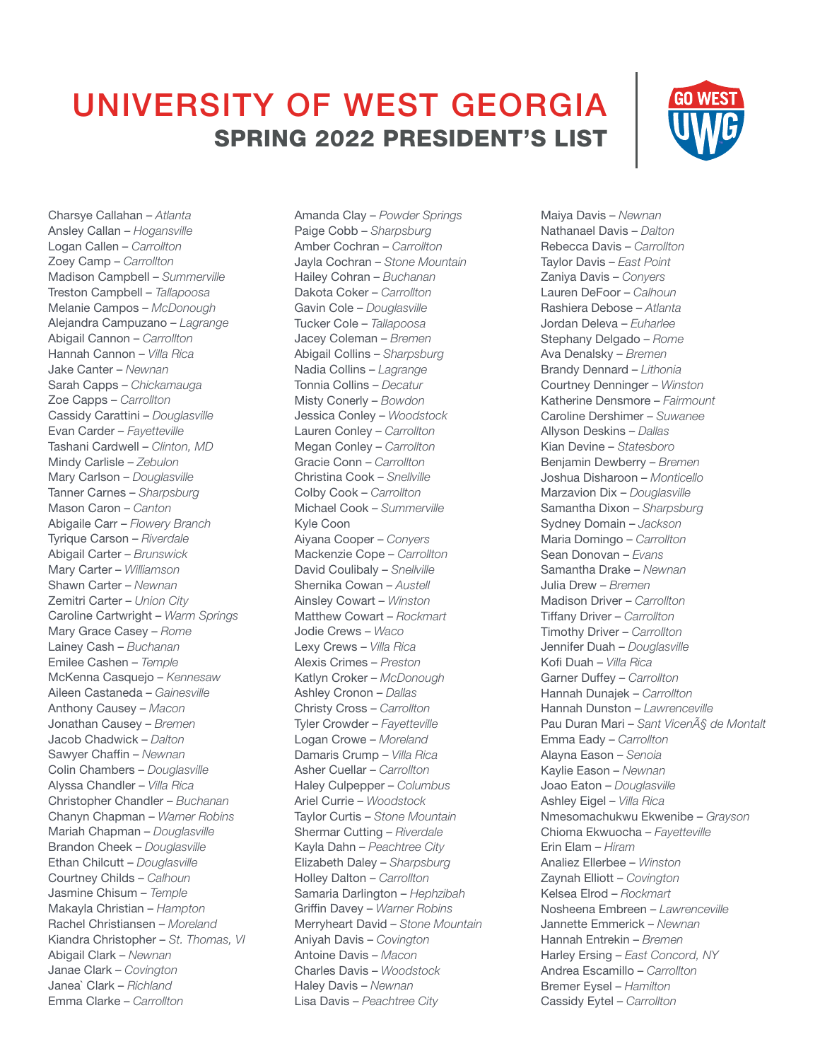Amanda Clay – *Powder Springs*



Charsye Callahan – *Atlanta* Ansley Callan – *Hogansville* Logan Callen – *Carrollton* Zoey Camp – *Carrollton* Madison Campbell – *Summerville* Treston Campbell – *Tallapoosa* Melanie Campos – *McDonough* Alejandra Campuzano – *Lagrange* Abigail Cannon – *Carrollton* Hannah Cannon – *Villa Rica* Jake Canter – *Newnan* Sarah Capps – *Chickamauga* Zoe Capps – *Carrollton* Cassidy Carattini – *Douglasville* Evan Carder – *Fayetteville* Tashani Cardwell – *Clinton, MD* Mindy Carlisle – *Zebulon* Mary Carlson – *Douglasville* Tanner Carnes – *Sharpsburg* Mason Caron – *Canton* Abigaile Carr – *Flowery Branch* Tyrique Carson – *Riverdale* Abigail Carter – *Brunswick* Mary Carter – *Williamson* Shawn Carter – *Newnan* Zemitri Carter – *Union City* Caroline Cartwright – *Warm Springs* Mary Grace Casey – *Rome* Lainey Cash – *Buchanan* Emilee Cashen – *Temple* McKenna Casquejo – *Kennesaw* Aileen Castaneda – *Gainesville* Anthony Causey – *Macon* Jonathan Causey – *Bremen* Jacob Chadwick – *Dalton* Sawyer Chaffin – *Newnan* Colin Chambers – *Douglasville* Alyssa Chandler – *Villa Rica* Christopher Chandler – *Buchanan* Chanyn Chapman – *Warner Robins* Mariah Chapman – *Douglasville* Brandon Cheek – *Douglasville* Ethan Chilcutt – *Douglasville* Courtney Childs – *Calhoun* Jasmine Chisum – *Temple* Makayla Christian – *Hampton* Rachel Christiansen – *Moreland* Kiandra Christopher – *St. Thomas, VI* Abigail Clark – *Newnan* Janae Clark – *Covington* Janea` Clark – *Richland* Emma Clarke – *Carrollton*

Paige Cobb – *Sharpsburg* Amber Cochran – *Carrollton* Jayla Cochran – *Stone Mountain* Hailey Cohran – *Buchanan* Dakota Coker – *Carrollton* Gavin Cole – *Douglasville* Tucker Cole – *Tallapoosa* Jacey Coleman – *Bremen* Abigail Collins – *Sharpsburg* Nadia Collins – *Lagrange* Tonnia Collins – *Decatur* Misty Conerly – *Bowdon* Jessica Conley – *Woodstock* Lauren Conley – *Carrollton* Megan Conley – *Carrollton* Gracie Conn – *Carrollton* Christina Cook – *Snellville* Colby Cook – *Carrollton* Michael Cook – *Summerville* Kyle Coon Aiyana Cooper – *Conyers* Mackenzie Cope – *Carrollton* David Coulibaly – *Snellville* Shernika Cowan – *Austell* Ainsley Cowart – *Winston* Matthew Cowart – *Rockmart* Jodie Crews – *Waco* Lexy Crews – *Villa Rica* Alexis Crimes – *Preston* Katlyn Croker – *McDonough* Ashley Cronon – *Dallas* Christy Cross – *Carrollton* Tyler Crowder – *Fayetteville* Logan Crowe – *Moreland* Damaris Crump – *Villa Rica* Asher Cuellar – *Carrollton* Haley Culpepper – *Columbus* Ariel Currie – *Woodstock* Taylor Curtis – *Stone Mountain* Shermar Cutting – *Riverdale* Kayla Dahn – *Peachtree City* Elizabeth Daley – *Sharpsburg* Holley Dalton – *Carrollton* Samaria Darlington – *Hephzibah* Griffin Davey – *Warner Robins* Merryheart David – *Stone Mountain* Aniyah Davis – *Covington* Antoine Davis – *Macon* Charles Davis – *Woodstock* Haley Davis – *Newnan* Lisa Davis – *Peachtree City*

Maiya Davis – *Newnan* Nathanael Davis – *Dalton* Rebecca Davis – *Carrollton* Taylor Davis – *East Point* Zaniya Davis – *Conyers* Lauren DeFoor – *Calhoun* Rashiera Debose – *Atlanta* Jordan Deleva – *Euharlee* Stephany Delgado – *Rome* Ava Denalsky – *Bremen* Brandy Dennard – *Lithonia* Courtney Denninger – *Winston* Katherine Densmore – *Fairmount* Caroline Dershimer – *Suwanee* Allyson Deskins – *Dallas* Kian Devine – *Statesboro* Benjamin Dewberry – *Bremen* Joshua Disharoon – *Monticello* Marzavion Dix – *Douglasville* Samantha Dixon – *Sharpsburg* Sydney Domain – *Jackson* Maria Domingo – *Carrollton* Sean Donovan – *Evans* Samantha Drake – *Newnan* Julia Drew – *Bremen* Madison Driver – *Carrollton* Tiffany Driver – *Carrollton* Timothy Driver – *Carrollton* Jennifer Duah – *Douglasville* Kofi Duah – *Villa Rica* Garner Duffey – *Carrollton* Hannah Dunajek – *Carrollton* Hannah Dunston – *Lawrenceville* Pau Duran Mari – Sant VicenA§ de Montalt Emma Eady – *Carrollton* Alayna Eason – *Senoia* Kaylie Eason – *Newnan* Joao Eaton – *Douglasville* Ashley Eigel – *Villa Rica* Nmesomachukwu Ekwenibe – *Grayson* Chioma Ekwuocha – *Fayetteville* Erin Elam – *Hiram* Analiez Ellerbee – *Winston* Zaynah Elliott – *Covington* Kelsea Elrod – *Rockmart* Nosheena Embreen – *Lawrenceville* Jannette Emmerick – *Newnan* Hannah Entrekin – *Bremen* Harley Ersing – *East Concord, NY* Andrea Escamillo – *Carrollton* Bremer Eysel – *Hamilton* Cassidy Eytel – *Carrollton*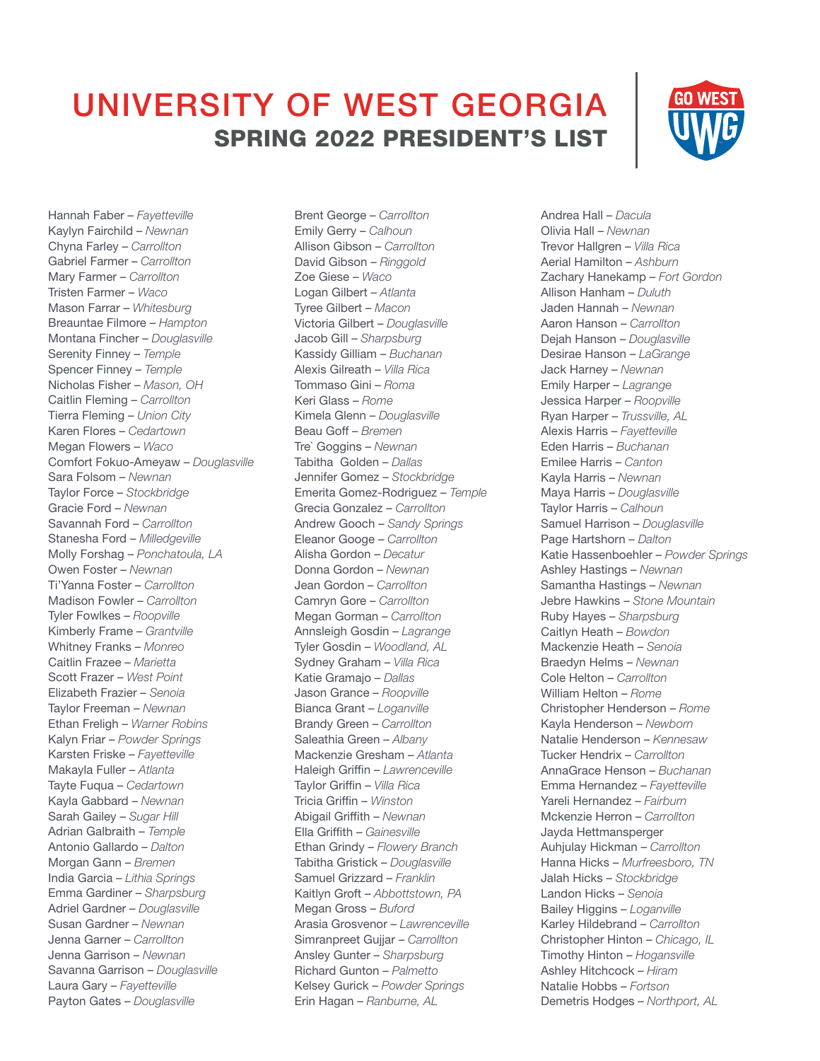Brent George – *Carrollton*



Hannah Faber – *Fayetteville* Kaylyn Fairchild – *Newnan* Chyna Farley – *Carrollton* Gabriel Farmer – *Carrollton* Mary Farmer – *Carrollton* Tristen Farmer – *Waco* Mason Farrar – *Whitesburg* Breauntae Filmore – *Hampton* Montana Fincher – *Douglasville* Serenity Finney – *Temple* Spencer Finney – *Temple* Nicholas Fisher – *Mason, OH* Caitlin Fleming – *Carrollton* Tierra Fleming – *Union City* Karen Flores – *Cedartown* Megan Flowers – *Waco* Comfort Fokuo-Ameyaw – *Douglasville* Sara Folsom – *Newnan* Taylor Force – *Stockbridge* Gracie Ford – *Newnan* Savannah Ford – *Carrollton* Stanesha Ford – *Milledgeville* Molly Forshag – *Ponchatoula, LA* Owen Foster – *Newnan* Ti'Yanna Foster – *Carrollton* Madison Fowler – *Carrollton* Tyler Fowlkes – *Roopville* Kimberly Frame – *Grantville* Whitney Franks – *Monreo* Caitlin Frazee – *Marietta* Scott Frazer – *West Point* Elizabeth Frazier – *Senoia* Taylor Freeman – *Newnan* Ethan Freligh – *Warner Robins* Kalyn Friar – *Powder Springs* Karsten Friske – *Fayetteville* Makayla Fuller – *Atlanta* Tayte Fuqua – *Cedartown* Kayla Gabbard – *Newnan* Sarah Gailey – *Sugar Hill* Adrian Galbraith – *Temple* Antonio Gallardo – *Dalton* Morgan Gann – *Bremen* India Garcia – *Lithia Springs* Emma Gardiner – *Sharpsburg* Adriel Gardner – *Douglasville* Susan Gardner – *Newnan* Jenna Garner – *Carrollton* Jenna Garrison – *Newnan* Savanna Garrison – *Douglasville* Laura Gary – *Fayetteville* Payton Gates – *Douglasville*

Emily Gerry – *Calhoun* Allison Gibson – *Carrollton* David Gibson – *Ringgold* Zoe Giese – *Waco* Logan Gilbert – *Atlanta* Tyree Gilbert – *Macon* Victoria Gilbert – *Douglasville* Jacob Gill – *Sharpsburg* Kassidy Gilliam – *Buchanan* Alexis Gilreath – *Villa Rica* Tommaso Gini – *Roma* Keri Glass – *Rome* Kimela Glenn – *Douglasville* Beau Goff – *Bremen* Tre` Goggins – *Newnan* Tabitha Golden – *Dallas* Jennifer Gomez – *Stockbridge* Emerita Gomez-Rodriguez – *Temple* Grecia Gonzalez – *Carrollton* Andrew Gooch – *Sandy Springs* Eleanor Googe – *Carrollton* Alisha Gordon – *Decatur* Donna Gordon – *Newnan* Jean Gordon – *Carrollton* Camryn Gore – *Carrollton* Megan Gorman – *Carrollton* Annsleigh Gosdin – *Lagrange* Tyler Gosdin – *Woodland, AL* Sydney Graham – *Villa Rica* Katie Gramajo – *Dallas* Jason Grance – *Roopville* Bianca Grant – *Loganville* Brandy Green – *Carrollton* Saleathia Green – *Albany* Mackenzie Gresham – *Atlanta* Haleigh Griffin – *Lawrenceville* Taylor Griffin – *Villa Rica* Tricia Griffin – *Winston* Abigail Griffith – *Newnan* Ella Griffith – *Gainesville* Ethan Grindy – *Flowery Branch* Tabitha Gristick – *Douglasville* Samuel Grizzard – *Franklin* Kaitlyn Groft – *Abbottstown, PA* Megan Gross – *Buford* Arasia Grosvenor – *Lawrenceville* Simranpreet Gujjar – *Carrollton* Ansley Gunter – *Sharpsburg* Richard Gunton – *Palmetto* Kelsey Gurick – *Powder Springs* Erin Hagan – *Ranburne, AL*

Andrea Hall – *Dacula* Olivia Hall – *Newnan* Trevor Hallgren – *Villa Rica* Aerial Hamilton – *Ashburn* Zachary Hanekamp – *Fort Gordon* Allison Hanham – *Duluth* Jaden Hannah – *Newnan* Aaron Hanson – *Carrollton* Dejah Hanson – *Douglasville* Desirae Hanson – *LaGrange* Jack Harney – *Newnan* Emily Harper – *Lagrange* Jessica Harper – *Roopville* Ryan Harper – *Trussville, AL* Alexis Harris – *Fayetteville* Eden Harris – *Buchanan* Emilee Harris – *Canton* Kayla Harris – *Newnan* Maya Harris – *Douglasville* Taylor Harris – *Calhoun* Samuel Harrison – *Douglasville* Page Hartshorn – *Dalton* Katie Hassenboehler – *Powder Springs* Ashley Hastings – *Newnan* Samantha Hastings – *Newnan* Jebre Hawkins – *Stone Mountain* Ruby Hayes – *Sharpsburg* Caitlyn Heath – *Bowdon* Mackenzie Heath – *Senoia* Braedyn Helms – *Newnan* Cole Helton – *Carrollton* William Helton – *Rome* Christopher Henderson – *Rome* Kayla Henderson – *Newborn* Natalie Henderson – *Kennesaw* Tucker Hendrix – *Carrollton* AnnaGrace Henson – *Buchanan* Emma Hernandez – *Fayetteville* Yareli Hernandez – *Fairburn* Mckenzie Herron – *Carrollton* Jayda Hettmansperger Auhjulay Hickman – *Carrollton* Hanna Hicks – *Murfreesboro, TN* Jalah Hicks – *Stockbridge* Landon Hicks – *Senoia* Bailey Higgins – *Loganville* Karley Hildebrand – *Carrollton* Christopher Hinton – *Chicago, IL* Timothy Hinton – *Hogansville* Ashley Hitchcock – *Hiram* Natalie Hobbs – *Fortson* Demetris Hodges – *Northport, AL*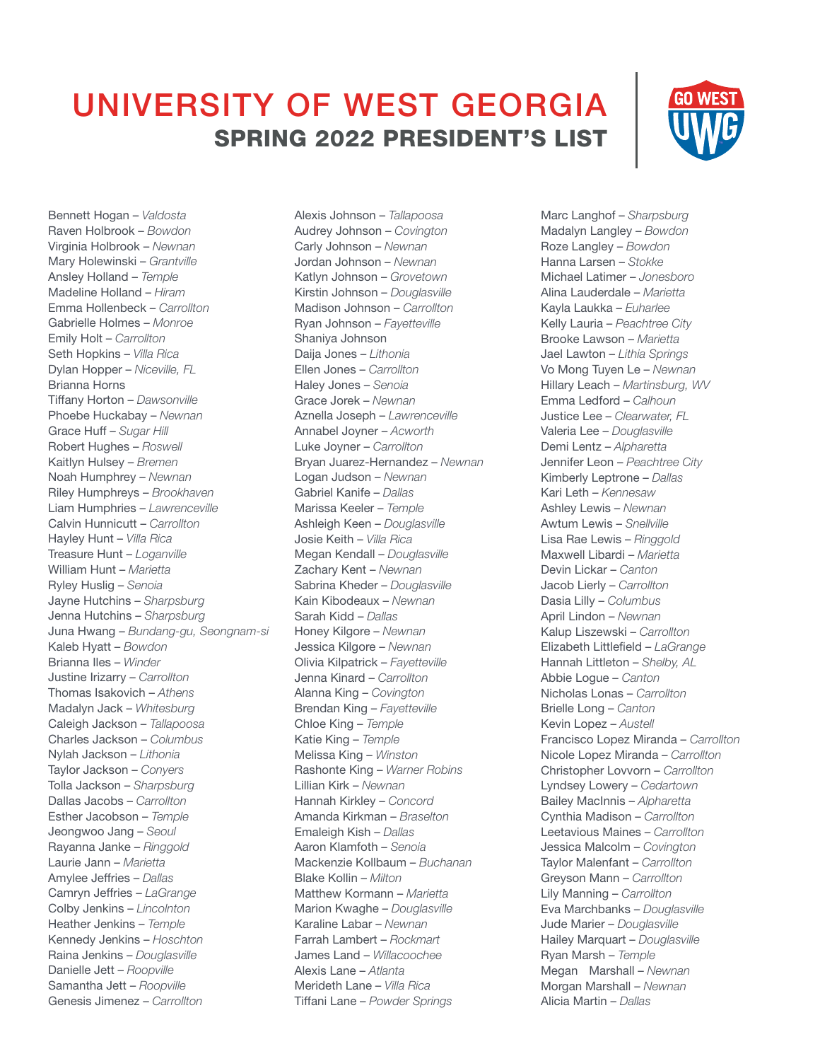Alexis Johnson – *Tallapoosa*



Bennett Hogan – *Valdosta* Raven Holbrook – *Bowdon* Virginia Holbrook – *Newnan* Mary Holewinski – *Grantville* Ansley Holland – *Temple* Madeline Holland – *Hiram* Emma Hollenbeck – *Carrollton* Gabrielle Holmes – *Monroe* Emily Holt – *Carrollton* Seth Hopkins – *Villa Rica* Dylan Hopper – *Niceville, FL* Brianna Horns Tiffany Horton – *Dawsonville* Phoebe Huckabay – *Newnan* Grace Huff – *Sugar Hill* Robert Hughes – *Roswell* Kaitlyn Hulsey – *Bremen* Noah Humphrey – *Newnan* Riley Humphreys – *Brookhaven* Liam Humphries – *Lawrenceville* Calvin Hunnicutt – *Carrollton* Hayley Hunt – *Villa Rica* Treasure Hunt – *Loganville* William Hunt – *Marietta* Ryley Huslig – *Senoia* Jayne Hutchins – *Sharpsburg* Jenna Hutchins – *Sharpsburg* Juna Hwang – *Bundang-gu, Seongnam-si* Kaleb Hyatt – *Bowdon* Brianna Iles – *Winder* Justine Irizarry – *Carrollton* Thomas Isakovich – *Athens* Madalyn Jack – *Whitesburg* Caleigh Jackson – *Tallapoosa* Charles Jackson – *Columbus* Nylah Jackson – *Lithonia* Taylor Jackson – *Conyers* Tolla Jackson – *Sharpsburg* Dallas Jacobs – *Carrollton* Esther Jacobson – *Temple* Jeongwoo Jang – *Seoul* Rayanna Janke – *Ringgold* Laurie Jann – *Marietta* Amylee Jeffries – *Dallas* Camryn Jeffries – *LaGrange* Colby Jenkins – *Lincolnton* Heather Jenkins – *Temple* Kennedy Jenkins – *Hoschton* Raina Jenkins – *Douglasville* Danielle Jett – *Roopville* Samantha Jett – *Roopville* Genesis Jimenez – *Carrollton*

Audrey Johnson – *Covington* Carly Johnson – *Newnan* Jordan Johnson – *Newnan* Katlyn Johnson – *Grovetown* Kirstin Johnson – *Douglasville* Madison Johnson – *Carrollton* Ryan Johnson – *Fayetteville* Shaniya Johnson Daija Jones – *Lithonia* Ellen Jones – *Carrollton* Haley Jones – *Senoia* Grace Jorek – *Newnan* Aznella Joseph – *Lawrenceville* Annabel Joyner – *Acworth* Luke Joyner – *Carrollton* Bryan Juarez-Hernandez – *Newnan* Logan Judson – *Newnan* Gabriel Kanife – *Dallas* Marissa Keeler – *Temple* Ashleigh Keen – *Douglasville* Josie Keith – *Villa Rica* Megan Kendall – *Douglasville* Zachary Kent – *Newnan* Sabrina Kheder – *Douglasville* Kain Kibodeaux – *Newnan* Sarah Kidd – *Dallas* Honey Kilgore – *Newnan* Jessica Kilgore – *Newnan* Olivia Kilpatrick – *Fayetteville* Jenna Kinard – *Carrollton* Alanna King – *Covington* Brendan King – *Fayetteville* Chloe King – *Temple* Katie King – *Temple* Melissa King – *Winston* Rashonte King – *Warner Robins* Lillian Kirk – *Newnan* Hannah Kirkley – *Concord* Amanda Kirkman – *Braselton* Emaleigh Kish – *Dallas* Aaron Klamfoth – *Senoia* Mackenzie Kollbaum – *Buchanan* Blake Kollin – *Milton* Matthew Kormann – *Marietta* Marion Kwaghe – *Douglasville* Karaline Labar – *Newnan* Farrah Lambert – *Rockmart* James Land – *Willacoochee* Alexis Lane – *Atlanta* Merideth Lane – *Villa Rica* Tiffani Lane – *Powder Springs*

Marc Langhof – *Sharpsburg* Madalyn Langley – *Bowdon* Roze Langley – *Bowdon* Hanna Larsen – *Stokke* Michael Latimer – *Jonesboro* Alina Lauderdale – *Marietta* Kayla Laukka – *Euharlee* Kelly Lauria – *Peachtree City* Brooke Lawson – *Marietta* Jael Lawton – *Lithia Springs* Vo Mong Tuyen Le – *Newnan* Hillary Leach – *Martinsburg, WV* Emma Ledford – *Calhoun* Justice Lee – *Clearwater, FL* Valeria Lee – *Douglasville* Demi Lentz – *Alpharetta* Jennifer Leon – *Peachtree City* Kimberly Leptrone – *Dallas* Kari Leth – *Kennesaw* Ashley Lewis – *Newnan* Awtum Lewis – *Snellville* Lisa Rae Lewis – *Ringgold* Maxwell Libardi – *Marietta* Devin Lickar – *Canton* Jacob Lierly – *Carrollton* Dasia Lilly – *Columbus* April Lindon – *Newnan* Kalup Liszewski – *Carrollton* Elizabeth Littlefield – *LaGrange* Hannah Littleton – *Shelby, AL* Abbie Logue – *Canton* Nicholas Lonas – *Carrollton* Brielle Long – *Canton* Kevin Lopez – *Austell* Francisco Lopez Miranda – *Carrollton* Nicole Lopez Miranda – *Carrollton* Christopher Lovvorn – *Carrollton* Lyndsey Lowery – *Cedartown* Bailey MacInnis – *Alpharetta* Cynthia Madison – *Carrollton* Leetavious Maines – *Carrollton* Jessica Malcolm – *Covington* Taylor Malenfant – *Carrollton* Greyson Mann – *Carrollton* Lily Manning – *Carrollton* Eva Marchbanks – *Douglasville* Jude Marier – *Douglasville* Hailey Marquart – *Douglasville* Ryan Marsh – *Temple* Megan Marshall – *Newnan* Morgan Marshall – *Newnan* Alicia Martin – *Dallas*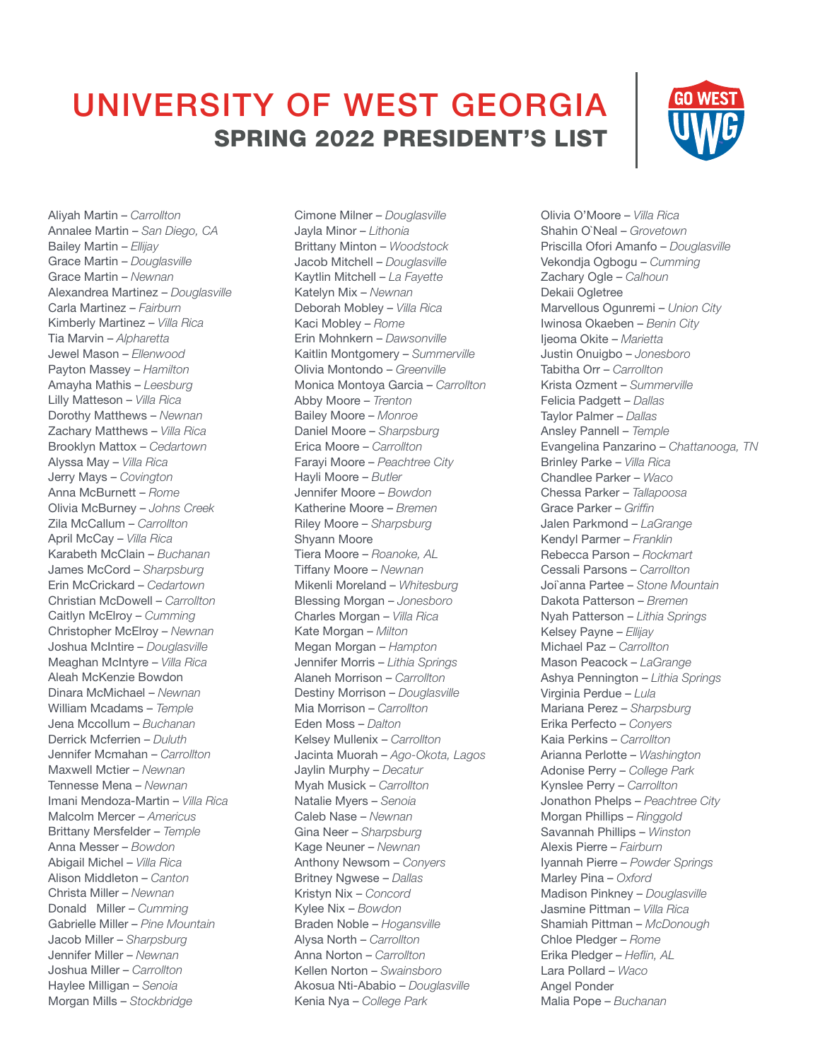Cimone Milner – *Douglasville*



Aliyah Martin – *Carrollton* Annalee Martin – *San Diego, CA* Bailey Martin – *Ellijay* Grace Martin – *Douglasville* Grace Martin – *Newnan* Alexandrea Martinez – *Douglasville* Carla Martinez – *Fairburn* Kimberly Martinez – *Villa Rica* Tia Marvin – *Alpharetta* Jewel Mason – *Ellenwood* Payton Massey – *Hamilton* Amayha Mathis – *Leesburg* Lilly Matteson – *Villa Rica* Dorothy Matthews – *Newnan* Zachary Matthews – *Villa Rica* Brooklyn Mattox – *Cedartown* Alyssa May – *Villa Rica* Jerry Mays – *Covington* Anna McBurnett – *Rome* Olivia McBurney – *Johns Creek* Zila McCallum – *Carrollton* April McCay – *Villa Rica* Karabeth McClain – *Buchanan* James McCord – *Sharpsburg* Erin McCrickard – *Cedartown* Christian McDowell – *Carrollton* Caitlyn McElroy – *Cumming* Christopher McElroy – *Newnan* Joshua McIntire – *Douglasville* Meaghan McIntyre – *Villa Rica* Aleah McKenzie Bowdon Dinara McMichael – *Newnan* William Mcadams – *Temple* Jena Mccollum – *Buchanan* Derrick Mcferrien – *Duluth* Jennifer Mcmahan – *Carrollton* Maxwell Mctier – *Newnan* Tennesse Mena – *Newnan* Imani Mendoza-Martin – *Villa Rica* Malcolm Mercer – *Americus* Brittany Mersfelder – *Temple* Anna Messer – *Bowdon* Abigail Michel – *Villa Rica* Alison Middleton – *Canton* Christa Miller – *Newnan* Donald Miller – *Cumming* Gabrielle Miller – *Pine Mountain* Jacob Miller – *Sharpsburg* Jennifer Miller – *Newnan* Joshua Miller – *Carrollton* Haylee Milligan – *Senoia* Morgan Mills – *Stockbridge*

Jayla Minor – *Lithonia* Brittany Minton – *Woodstock* Jacob Mitchell – *Douglasville* Kaytlin Mitchell – *La Fayette* Katelyn Mix – *Newnan* Deborah Mobley – *Villa Rica* Kaci Mobley – *Rome* Erin Mohnkern – *Dawsonville* Kaitlin Montgomery – *Summerville* Olivia Montondo – *Greenville* Monica Montoya Garcia – *Carrollton* Abby Moore – *Trenton* Bailey Moore – *Monroe* Daniel Moore – *Sharpsburg* Erica Moore – *Carrollton* Farayi Moore – *Peachtree City* Hayli Moore – *Butler* Jennifer Moore – *Bowdon* Katherine Moore – *Bremen* Riley Moore – *Sharpsburg* Shyann Moore Tiera Moore – *Roanoke, AL* Tiffany Moore – *Newnan* Mikenli Moreland – *Whitesburg* Blessing Morgan – *Jonesboro* Charles Morgan – *Villa Rica* Kate Morgan – *Milton* Megan Morgan – *Hampton* Jennifer Morris – *Lithia Springs* Alaneh Morrison – *Carrollton* Destiny Morrison – *Douglasville* Mia Morrison – *Carrollton* Eden Moss – *Dalton* Kelsey Mullenix – *Carrollton* Jacinta Muorah – *Ago-Okota, Lagos* Jaylin Murphy – *Decatur* Myah Musick – *Carrollton* Natalie Myers – *Senoia* Caleb Nase – *Newnan* Gina Neer – *Sharpsburg* Kage Neuner – *Newnan* Anthony Newsom – *Conyers* Britney Ngwese – *Dallas* Kristyn Nix – *Concord* Kylee Nix – *Bowdon* Braden Noble – *Hogansville* Alysa North – *Carrollton* Anna Norton – *Carrollton* Kellen Norton – *Swainsboro* Akosua Nti-Ababio – *Douglasville* Kenia Nya – *College Park*

Olivia O'Moore – *Villa Rica* Shahin O`Neal – *Grovetown* Priscilla Ofori Amanfo – *Douglasville* Vekondja Ogbogu – *Cumming* Zachary Ogle – *Calhoun* Dekaii Ogletree Marvellous Ogunremi – *Union City* Iwinosa Okaeben – *Benin City* Ijeoma Okite – *Marietta* Justin Onuigbo – *Jonesboro* Tabitha Orr – *Carrollton* Krista Ozment – *Summerville* Felicia Padgett – *Dallas* Taylor Palmer – *Dallas* Ansley Pannell – *Temple* Evangelina Panzarino – *Chattanooga, TN* Brinley Parke – *Villa Rica* Chandlee Parker – *Waco* Chessa Parker – *Tallapoosa* Grace Parker – *Griffin* Jalen Parkmond – *LaGrange* Kendyl Parmer – *Franklin* Rebecca Parson – *Rockmart* Cessali Parsons – *Carrollton* Joi`anna Partee – *Stone Mountain* Dakota Patterson – *Bremen* Nyah Patterson – *Lithia Springs* Kelsey Payne – *Ellijay* Michael Paz – *Carrollton* Mason Peacock – *LaGrange* Ashya Pennington – *Lithia Springs* Virginia Perdue – *Lula* Mariana Perez – *Sharpsburg* Erika Perfecto – *Conyers* Kaia Perkins – *Carrollton* Arianna Perlotte – *Washington* Adonise Perry – *College Park* Kynslee Perry – *Carrollton* Jonathon Phelps – *Peachtree City* Morgan Phillips – *Ringgold* Savannah Phillips – *Winston* Alexis Pierre – *Fairburn* Iyannah Pierre – *Powder Springs* Marley Pina – *Oxford* Madison Pinkney – *Douglasville* Jasmine Pittman – *Villa Rica* Shamiah Pittman – *McDonough* Chloe Pledger – *Rome* Erika Pledger – *Heflin, AL* Lara Pollard – *Waco* Angel Ponder Malia Pope – *Buchanan*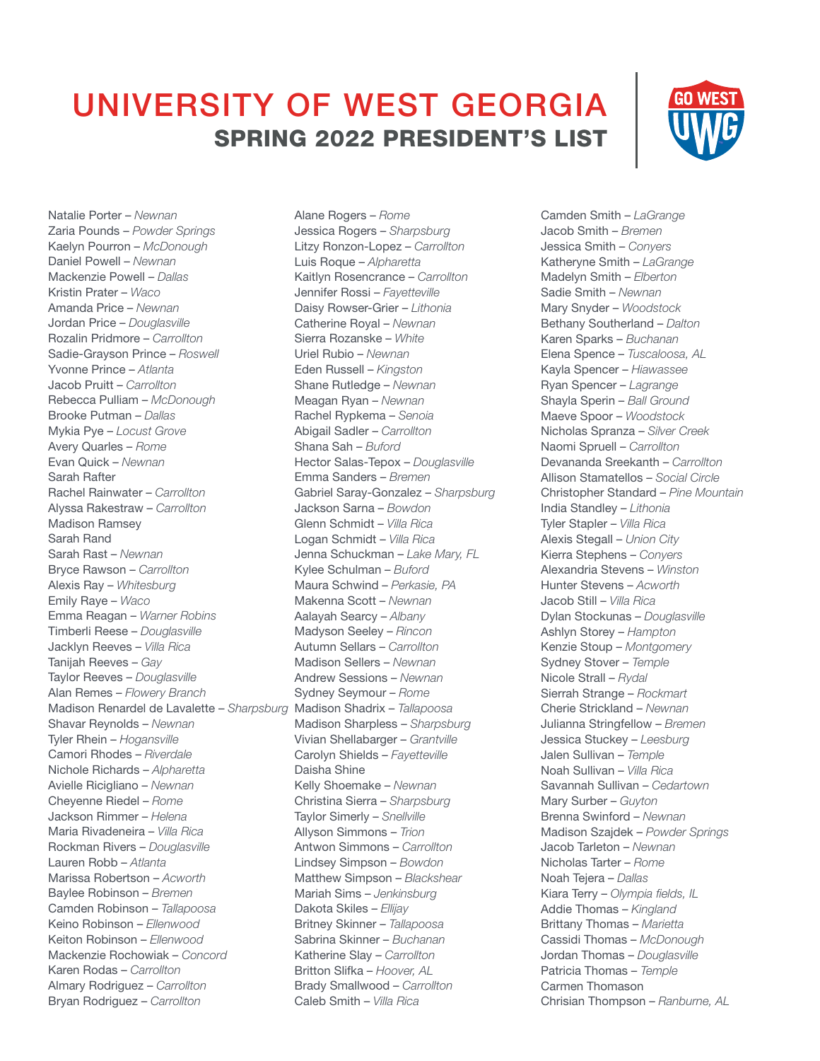Alane Rogers – *Rome*



Natalie Porter – *Newnan* Zaria Pounds – *Powder Springs* Kaelyn Pourron – *McDonough* Daniel Powell – *Newnan* Mackenzie Powell – *Dallas* Kristin Prater – *Waco* Amanda Price – *Newnan* Jordan Price – *Douglasville* Rozalin Pridmore – *Carrollton* Sadie-Grayson Prince – *Roswell* Yvonne Prince – *Atlanta* Jacob Pruitt – *Carrollton* Rebecca Pulliam – *McDonough* Brooke Putman – *Dallas* Mykia Pye – *Locust Grove* Avery Quarles – *Rome* Evan Quick – *Newnan* Sarah Rafter Rachel Rainwater – *Carrollton* Alyssa Rakestraw – *Carrollton* Madison Ramsey Sarah Rand Sarah Rast – *Newnan* Bryce Rawson – *Carrollton* Alexis Ray – *Whitesburg* Emily Raye – *Waco* Emma Reagan – *Warner Robins* Timberli Reese – *Douglasville* Jacklyn Reeves – *Villa Rica* Tanijah Reeves – *Gay* Taylor Reeves – *Douglasville* Alan Remes – *Flowery Branch* Madison Renardel de Lavalette – *Sharpsburg* Shavar Reynolds – *Newnan* Tyler Rhein – *Hogansville* Camori Rhodes – *Riverdale* Nichole Richards – *Alpharetta* Avielle Ricigliano – *Newnan* Cheyenne Riedel – *Rome* Jackson Rimmer – *Helena* Maria Rivadeneira – *Villa Rica* Rockman Rivers – *Douglasville* Lauren Robb – *Atlanta* Marissa Robertson – *Acworth* Baylee Robinson – *Bremen* Camden Robinson – *Tallapoosa* Keino Robinson – *Ellenwood* Keiton Robinson – *Ellenwood* Mackenzie Rochowiak – *Concord* Karen Rodas – *Carrollton* Almary Rodriguez – *Carrollton* Bryan Rodriguez – *Carrollton*

Jessica Rogers – *Sharpsburg* Litzy Ronzon-Lopez – *Carrollton* Luis Roque – *Alpharetta* Kaitlyn Rosencrance – *Carrollton* Jennifer Rossi – *Fayetteville* Daisy Rowser-Grier – *Lithonia* Catherine Royal – *Newnan* Sierra Rozanske – *White* Uriel Rubio – *Newnan* Eden Russell – *Kingston* Shane Rutledge – *Newnan* Meagan Ryan – *Newnan* Rachel Rypkema – *Senoia* Abigail Sadler – *Carrollton* Shana Sah – *Buford* Hector Salas-Tepox – *Douglasville* Emma Sanders – *Bremen* Gabriel Saray-Gonzalez – *Sharpsburg* Jackson Sarna – *Bowdon* Glenn Schmidt – *Villa Rica* Logan Schmidt – *Villa Rica* Jenna Schuckman – *Lake Mary, FL* Kylee Schulman – *Buford* Maura Schwind – *Perkasie, PA* Makenna Scott – *Newnan* Aalayah Searcy – *Albany* Madyson Seeley – *Rincon* Autumn Sellars – *Carrollton* Madison Sellers – *Newnan* Andrew Sessions – *Newnan* Sydney Seymour – *Rome* Madison Shadrix – *Tallapoosa* Madison Sharpless – *Sharpsburg* Vivian Shellabarger – *Grantville* Carolyn Shields – *Fayetteville* Daisha Shine Kelly Shoemake – *Newnan* Christina Sierra – *Sharpsburg* Taylor Simerly – *Snellville* Allyson Simmons – *Trion* Antwon Simmons – *Carrollton* Lindsey Simpson – *Bowdon* Matthew Simpson – *Blackshear* Mariah Sims – *Jenkinsburg* Dakota Skiles – *Ellijay* Britney Skinner – *Tallapoosa* Sabrina Skinner – *Buchanan* Katherine Slay – *Carrollton* Britton Slifka – *Hoover, AL* Brady Smallwood – *Carrollton* Caleb Smith – *Villa Rica*

Camden Smith – *LaGrange* Jacob Smith – *Bremen* Jessica Smith – *Conyers* Katheryne Smith – *LaGrange* Madelyn Smith – *Elberton* Sadie Smith – *Newnan* Mary Snyder – *Woodstock* Bethany Southerland – *Dalton* Karen Sparks – *Buchanan* Elena Spence – *Tuscaloosa, AL* Kayla Spencer – *Hiawassee* Ryan Spencer – *Lagrange* Shayla Sperin – *Ball Ground* Maeve Spoor – *Woodstock* Nicholas Spranza – *Silver Creek* Naomi Spruell – *Carrollton* Devananda Sreekanth – *Carrollton* Allison Stamatellos – *Social Circle* Christopher Standard – *Pine Mountain* India Standley – *Lithonia* Tyler Stapler – *Villa Rica* Alexis Stegall – *Union City* Kierra Stephens – *Conyers* Alexandria Stevens – *Winston* Hunter Stevens – *Acworth* Jacob Still – *Villa Rica* Dylan Stockunas – *Douglasville* Ashlyn Storey – *Hampton* Kenzie Stoup – *Montgomery* Sydney Stover – *Temple* Nicole Strall – *Rydal* Sierrah Strange – *Rockmart* Cherie Strickland – *Newnan* Julianna Stringfellow – *Bremen* Jessica Stuckey – *Leesburg* Jalen Sullivan – *Temple* Noah Sullivan – *Villa Rica* Savannah Sullivan – *Cedartown* Mary Surber – *Guyton* Brenna Swinford – *Newnan* Madison Szajdek – *Powder Springs* Jacob Tarleton – *Newnan* Nicholas Tarter – *Rome* Noah Tejera – *Dallas* Kiara Terry – *Olympia fields, IL* Addie Thomas – *Kingland* Brittany Thomas – *Marietta* Cassidi Thomas – *McDonough* Jordan Thomas – *Douglasville* Patricia Thomas – *Temple* Carmen Thomason Chrisian Thompson – *Ranburne, AL*